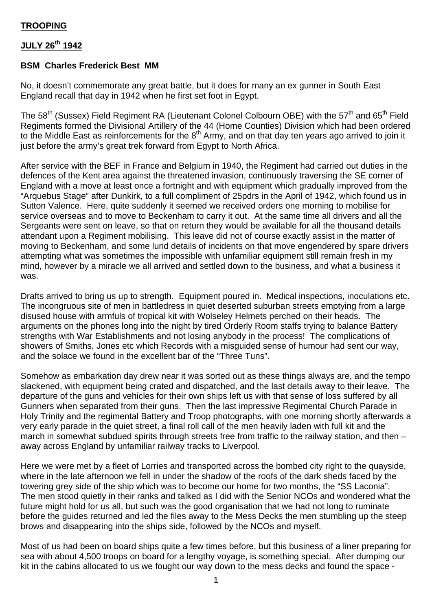## **JULY 26th 1942**

## **BSM Charles Frederick Best MM**

No, it doesn't commemorate any great battle, but it does for many an ex gunner in South East England recall that day in 1942 when he first set foot in Egypt.

The 58<sup>th</sup> (Sussex) Field Regiment RA (Lieutenant Colonel Colbourn OBE) with the 57<sup>th</sup> and 65<sup>th</sup> Field Regiments formed the Divisional Artillery of the 44 (Home Counties) Division which had been ordered to the Middle East as reinforcements for the 8<sup>th</sup> Army, and on that day ten years ago arrived to join it just before the army's great trek forward from Egypt to North Africa.

After service with the BEF in France and Belgium in 1940, the Regiment had carried out duties in the defences of the Kent area against the threatened invasion, continuously traversing the SE corner of England with a move at least once a fortnight and with equipment which gradually improved from the "Arquebus Stage" after Dunkirk, to a full compliment of 25pdrs in the April of 1942, which found us in Sutton Valence. Here, quite suddenly it seemed we received orders one morning to mobilise for service overseas and to move to Beckenham to carry it out. At the same time all drivers and all the Sergeants were sent on leave, so that on return they would be available for all the thousand details attendant upon a Regiment mobilising. This leave did not of course exactly assist in the matter of moving to Beckenham, and some lurid details of incidents on that move engendered by spare drivers attempting what was sometimes the impossible with unfamiliar equipment still remain fresh in my mind, however by a miracle we all arrived and settled down to the business, and what a business it was.

Drafts arrived to bring us up to strength. Equipment poured in. Medical inspections, inoculations etc. The incongruous site of men in battledress in quiet deserted suburban streets emptying from a large disused house with armfuls of tropical kit with Wolseley Helmets perched on their heads. The arguments on the phones long into the night by tired Orderly Room staffs trying to balance Battery strengths with War Establishments and not losing anybody in the process! The complications of showers of Smiths, Jones etc which Records with a misguided sense of humour had sent our way, and the solace we found in the excellent bar of the "Three Tuns".

Somehow as embarkation day drew near it was sorted out as these things always are, and the tempo slackened, with equipment being crated and dispatched, and the last details away to their leave. The departure of the guns and vehicles for their own ships left us with that sense of loss suffered by all Gunners when separated from their guns. Then the last impressive Regimental Church Parade in Holy Trinity and the regimental Battery and Troop photographs, with one morning shortly afterwards a very early parade in the quiet street, a final roll call of the men heavily laden with full kit and the march in somewhat subdued spirits through streets free from traffic to the railway station, and then – away across England by unfamiliar railway tracks to Liverpool.

Here we were met by a fleet of Lorries and transported across the bombed city right to the quayside, where in the late afternoon we fell in under the shadow of the roofs of the dark sheds faced by the towering grey side of the ship which was to become our home for two months, the "SS Laconia". The men stood quietly in their ranks and talked as I did with the Senior NCOs and wondered what the future might hold for us all, but such was the good organisation that we had not long to ruminate before the guides returned and led the files away to the Mess Decks the men stumbling up the steep brows and disappearing into the ships side, followed by the NCOs and myself.

Most of us had been on board ships quite a few times before, but this business of a liner preparing for sea with about 4,500 troops on board for a lengthy voyage, is something special. After dumping our kit in the cabins allocated to us we fought our way down to the mess decks and found the space -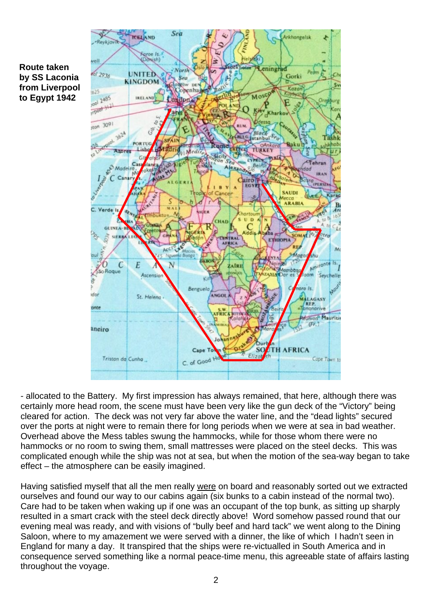



- allocated to the Battery. My first impression has always remained, that here, although there was certainly more head room, the scene must have been very like the gun deck of the "Victory" being cleared for action. The deck was not very far above the water line, and the "dead lights" secured over the ports at night were to remain there for long periods when we were at sea in bad weather. Overhead above the Mess tables swung the hammocks, while for those whom there were no hammocks or no room to swing them, small mattresses were placed on the steel decks. This was complicated enough while the ship was not at sea, but when the motion of the sea-way began to take effect – the atmosphere can be easily imagined.

Having satisfied myself that all the men really were on board and reasonably sorted out we extracted ourselves and found our way to our cabins again (six bunks to a cabin instead of the normal two). Care had to be taken when waking up if one was an occupant of the top bunk, as sitting up sharply resulted in a smart crack with the steel deck directly above! Word somehow passed round that our evening meal was ready, and with visions of "bully beef and hard tack" we went along to the Dining Saloon, where to my amazement we were served with a dinner, the like of which I hadn't seen in England for many a day. It transpired that the ships were re-victualled in South America and in consequence served something like a normal peace-time menu, this agreeable state of affairs lasting throughout the voyage.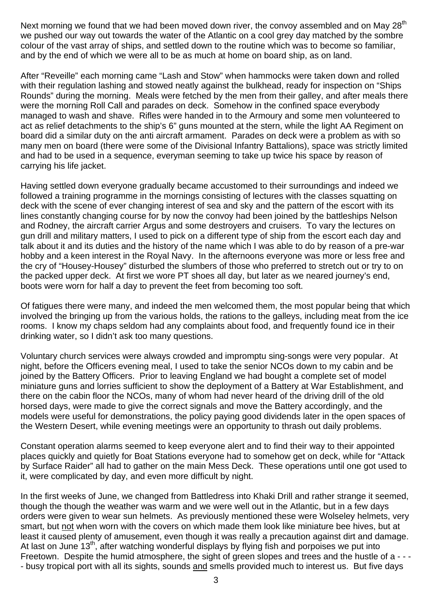Next morning we found that we had been moved down river, the convoy assembled and on May 28<sup>th</sup> we pushed our way out towards the water of the Atlantic on a cool grey day matched by the sombre colour of the vast array of ships, and settled down to the routine which was to become so familiar, and by the end of which we were all to be as much at home on board ship, as on land.

After "Reveille" each morning came "Lash and Stow" when hammocks were taken down and rolled with their regulation lashing and stowed neatly against the bulkhead, ready for inspection on "Ships" Rounds" during the morning. Meals were fetched by the men from their galley, and after meals there were the morning Roll Call and parades on deck. Somehow in the confined space everybody managed to wash and shave. Rifles were handed in to the Armoury and some men volunteered to act as relief detachments to the ship's 6" guns mounted at the stern, while the light AA Regiment on board did a similar duty on the anti aircraft armament. Parades on deck were a problem as with so many men on board (there were some of the Divisional Infantry Battalions), space was strictly limited and had to be used in a sequence, everyman seeming to take up twice his space by reason of carrying his life jacket.

Having settled down everyone gradually became accustomed to their surroundings and indeed we followed a training programme in the mornings consisting of lectures with the classes squatting on deck with the scene of ever changing interest of sea and sky and the pattern of the escort with its lines constantly changing course for by now the convoy had been joined by the battleships Nelson and Rodney, the aircraft carrier Argus and some destroyers and cruisers. To vary the lectures on gun drill and military matters, I used to pick on a different type of ship from the escort each day and talk about it and its duties and the history of the name which I was able to do by reason of a pre-war hobby and a keen interest in the Royal Navy. In the afternoons everyone was more or less free and the cry of "Housey-Housey" disturbed the slumbers of those who preferred to stretch out or try to on the packed upper deck. At first we wore PT shoes all day, but later as we neared journey's end, boots were worn for half a day to prevent the feet from becoming too soft.

Of fatigues there were many, and indeed the men welcomed them, the most popular being that which involved the bringing up from the various holds, the rations to the galleys, including meat from the ice rooms. I know my chaps seldom had any complaints about food, and frequently found ice in their drinking water, so I didn't ask too many questions.

Voluntary church services were always crowded and impromptu sing-songs were very popular. At night, before the Officers evening meal, I used to take the senior NCOs down to my cabin and be joined by the Battery Officers. Prior to leaving England we had bought a complete set of model miniature guns and lorries sufficient to show the deployment of a Battery at War Establishment, and there on the cabin floor the NCOs, many of whom had never heard of the driving drill of the old horsed days, were made to give the correct signals and move the Battery accordingly, and the models were useful for demonstrations, the policy paying good dividends later in the open spaces of the Western Desert, while evening meetings were an opportunity to thrash out daily problems.

Constant operation alarms seemed to keep everyone alert and to find their way to their appointed places quickly and quietly for Boat Stations everyone had to somehow get on deck, while for "Attack by Surface Raider" all had to gather on the main Mess Deck. These operations until one got used to it, were complicated by day, and even more difficult by night.

In the first weeks of June, we changed from Battledress into Khaki Drill and rather strange it seemed, though the though the weather was warm and we were well out in the Atlantic, but in a few days orders were given to wear sun helmets. As previously mentioned these were Wolseley helmets, very smart, but not when worn with the covers on which made them look like miniature bee hives, but at least it caused plenty of amusement, even though it was really a precaution against dirt and damage. At last on June 13<sup>th</sup>, after watching wonderful displays by flying fish and porpoises we put into Freetown. Despite the humid atmosphere, the sight of green slopes and trees and the hustle of a - - -- busy tropical port with all its sights, sounds and smells provided much to interest us. But five days